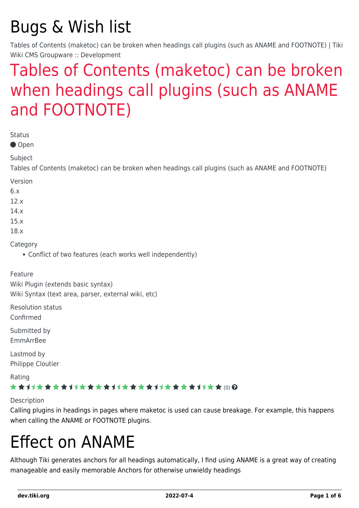## Bugs & Wish list

Tables of Contents (maketoc) can be broken when headings call plugins (such as ANAME and FOOTNOTE) | Tiki Wiki CMS Groupware :: Development

### [Tables of Contents \(maketoc\) can be broken](https://dev.tiki.org/item4235-Tables-of-Contents-maketoc-can-be-broken-when-headings-call-plugins-such-as-ANAME-and-FOOTNOTE) [when headings call plugins \(such as ANAME](https://dev.tiki.org/item4235-Tables-of-Contents-maketoc-can-be-broken-when-headings-call-plugins-such-as-ANAME-and-FOOTNOTE) [and FOOTNOTE\)](https://dev.tiki.org/item4235-Tables-of-Contents-maketoc-can-be-broken-when-headings-call-plugins-such-as-ANAME-and-FOOTNOTE)

Status

● Open

Subject

Tables of Contents (maketoc) can be broken when headings call plugins (such as ANAME and FOOTNOTE)

Version

6.x

12.x

14.x

15.x

18.x

Category

Conflict of two features (each works well independently)

#### Feature

Wiki Plugin (extends basic syntax) Wiki Syntax (text area, parser, external wiki, etc)

Resolution status

Confirmed

Submitted by EmmArrBee

Lastmod by Philippe Cloutier

Rating

#### \*\*\*\*\*\*\*\*\*\*\*\*\*\*\*\*\*\*\*\*\*\*\*\*\*\*\*\*\*\*

Description

Calling plugins in headings in pages where maketoc is used can cause breakage. For example, this happens when calling the ANAME or FOOTNOTE plugins.

### Effect on ANAME

Although Tiki generates anchors for all headings automatically, I find using ANAME is a great way of creating manageable and easily memorable Anchors for otherwise unwieldy headings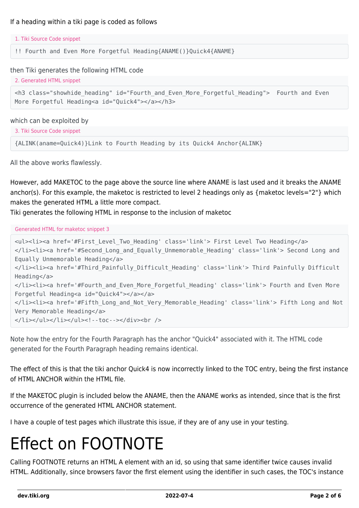```
1. Tiki Source Code snippet
```
!! Fourth and Even More Forgetful Heading{ANAME()}Quick4{ANAME}

then Tiki generates the following HTML code

```
2. Generated HTML snippet
```

```
<h3 class="showhide_heading" id="Fourth_and_Even_More_Forgetful_Heading"> Fourth and Even
More Forgetful Heading<a id="Quick4"></a></h3>
```
which can be exploited by

3. Tiki Source Code snippet

{ALINK(aname=Quick4)}Link to Fourth Heading by its Quick4 Anchor{ALINK}

All the above works flawlessly.

However, add MAKETOC to the page above the source line where ANAME is last used and it breaks the ANAME anchor(s). For this example, the maketoc is restricted to level 2 headings only as {maketoc levels="2"} which makes the generated HTML a little more compact.

Tiki generates the following HTML in response to the inclusion of maketoc

Generated HTML for maketoc snippet 3

```
<ul><li><a href='#First_Level_Two_Heading' class='link'> First Level Two Heading</a>
</li><li><a href='#Second_Long_and_Equally_Unmemorable_Heading' class='link'> Second Long and
Equally Unmemorable Heading</a>
</li><li><a href='#Third_Painfully_Difficult_Heading' class='link'> Third Painfully Difficult
Heading</a>
</li><li><a href='#Fourth_and_Even_More_Forgetful_Heading' class='link'> Fourth and Even More
Forgetful Heading<a id="Quick4"></a></a>
</li><li><a href='#Fifth_Long_and_Not_Very_Memorable_Heading' class='link'> Fifth Long and Not
Very Memorable Heading</a>
</li></ul></li></ul></ul><!--toc--></div><br />
```
Note how the entry for the Fourth Paragraph has the anchor "Quick4" associated with it. The HTML code generated for the Fourth Paragraph heading remains identical.

The effect of this is that the tiki anchor Quick4 is now incorrectly linked to the TOC entry, being the first instance of HTML ANCHOR within the HTML file.

If the MAKETOC plugin is included below the ANAME, then the ANAME works as intended, since that is the first occurrence of the generated HTML ANCHOR statement.

I have a couple of test pages which illustrate this issue, if they are of any use in your testing.

## Effect on FOOTNOTE

Calling FOOTNOTE returns an HTML A element with an id, so using that same identifier twice causes invalid HTML. Additionally, since browsers favor the first element using the identifier in such cases, the TOC's instance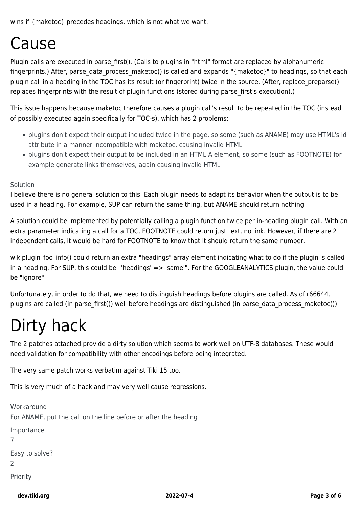wins if {maketoc} precedes headings, which is not what we want.

### Cause

Plugin calls are executed in parse first(). (Calls to plugins in "html" format are replaced by alphanumeric fingerprints.) After, parse data process maketoc() is called and expands "{maketoc}" to headings, so that each plugin call in a heading in the TOC has its result (or fingerprint) twice in the source. (After, replace\_preparse() replaces fingerprints with the result of plugin functions (stored during parse first's execution).)

This issue happens because maketoc therefore causes a plugin call's result to be repeated in the TOC (instead of possibly executed again specifically for TOC-s), which has 2 problems:

- plugins don't expect their output included twice in the page, so some (such as ANAME) may use HTML's id attribute in a manner incompatible with maketoc, causing invalid HTML
- plugins don't expect their output to be included in an HTML A element, so some (such as FOOTNOTE) for example generate links themselves, again causing invalid HTML

#### Solution

I believe there is no general solution to this. Each plugin needs to adapt its behavior when the output is to be used in a heading. For example, SUP can return the same thing, but ANAME should return nothing.

A solution could be implemented by potentially calling a plugin function twice per in-heading plugin call. With an extra parameter indicating a call for a TOC, FOOTNOTE could return just text, no link. However, if there are 2 independent calls, it would be hard for FOOTNOTE to know that it should return the same number.

wikiplugin foo info() could return an extra "headings" array element indicating what to do if the plugin is called in a heading. For SUP, this could be "'headings' => 'same'". For the GOOGLEANALYTICS plugin, the value could be "ignore".

Unfortunately, in order to do that, we need to distinguish headings before plugins are called. As of r66644, plugins are called (in parse first()) well before headings are distinguished (in parse data process maketoc()).

## Dirty hack

The 2 patches attached provide a dirty solution which seems to work well on UTF-8 databases. These would need validation for compatibility with other encodings before being integrated.

The very same patch works verbatim against Tiki 15 too.

This is very much of a hack and may very well cause regressions.

```
Workaround
For ANAME, put the call on the line before or after the heading
Importance
7
Easy to solve?
2
Priority
```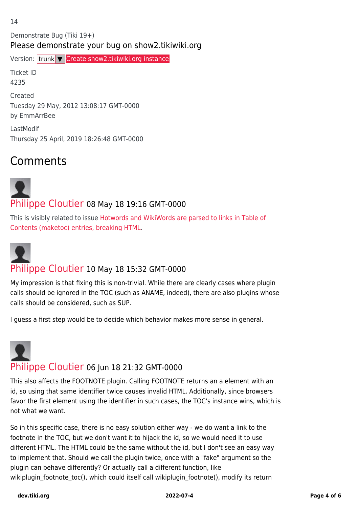Demonstrate Bug (Tiki 19+) Please demonstrate your bug on show2.tikiwiki.org

Version: trunk ▼ [Create show2.tikiwiki.org instance](#page--1-0)

Ticket ID 4235 Created Tuesday 29 May, 2012 13:08:17 GMT-0000 by EmmArrBee

LastModif Thursday 25 April, 2019 18:26:48 GMT-0000

### Comments

# [Philippe Cloutier](https://dev.tiki.org/user232) 08 May 18 19:16 GMT-0000

This is visibly related to issue [Hotwords and WikiWords are parsed to links in Table of](https://dev.tiki.org/wish638) [Contents \(maketoc\) entries, breaking HTML](https://dev.tiki.org/wish638).



#### [Philippe Cloutier](https://dev.tiki.org/user232) 10 May 18 15:32 GMT-0000

My impression is that fixing this is non-trivial. While there are clearly cases where plugin calls should be ignored in the TOC (such as ANAME, indeed), there are also plugins whose calls should be considered, such as SUP.

I guess a first step would be to decide which behavior makes more sense in general.



This also affects the FOOTNOTE plugin. Calling FOOTNOTE returns an a element with an id, so using that same identifier twice causes invalid HTML. Additionally, since browsers favor the first element using the identifier in such cases, the TOC's instance wins, which is not what we want.

So in this specific case, there is no easy solution either way - we do want a link to the footnote in the TOC, but we don't want it to hijack the id, so we would need it to use different HTML. The HTML could be the same without the id, but I don't see an easy way to implement that. Should we call the plugin twice, once with a "fake" argument so the plugin can behave differently? Or actually call a different function, like wikiplugin\_footnote\_toc(), which could itself call wikiplugin\_footnote(), modify its return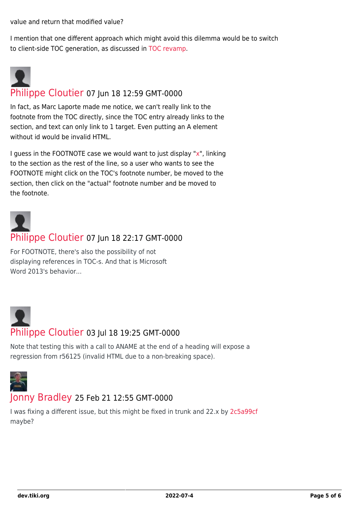value and return that modified value?

I mention that one different approach which might avoid this dilemma would be to switch to client-side TOC generation, as discussed in [TOC revamp.](https://dev.tiki.org/TOC-revamp)



In fact, as Marc Laporte made me notice, we can't really link to the footnote from the TOC directly, since the TOC entry already links to the section, and text can only link to 1 target. Even putting an A element without id would be invalid HTML.

I guess in the FOOTNOTE case we would want to just display ["x](https://dev.tiki.org/x)", linking to the section as the rest of the line, so a user who wants to see the FOOTNOTE might click on the TOC's footnote number, be moved to the section, then click on the "actual" footnote number and be moved to the footnote.



#### [Philippe Cloutier](https://dev.tiki.org/user232) 07 Jun 18 22:17 GMT-0000

For FOOTNOTE, there's also the possibility of not displaying references in TOC-s. And that is Microsoft Word 2013's behavior...

### [Philippe Cloutier](https://dev.tiki.org/user232) 03 Jul 18 19:25 GMT-0000

Note that testing this with a call to ANAME at the end of a heading will expose a regression from r56125 (invalid HTML due to a non-breaking space).



#### [Jonny Bradley](https://dev.tiki.org/user8515) 25 Feb 21 12:55 GMT-0000

I was fixing a different issue, but this might be fixed in trunk and 22.x by [2c5a99cf](https://gitlab.com/tikiwiki/tiki/-/commit/2c5a99cf) maybe?